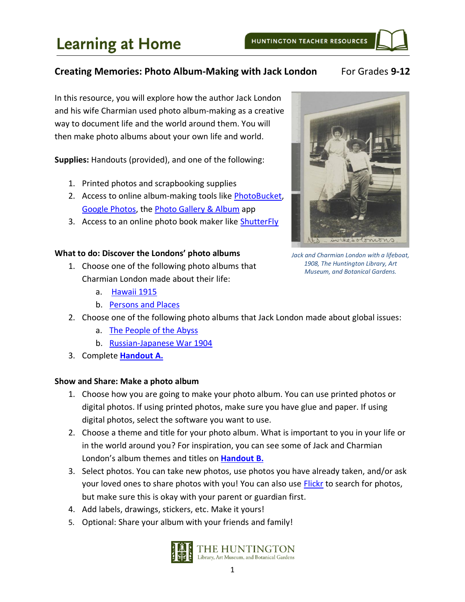#### **Creating Memories: Photo Album-Making with Jack London** For Grades 9-12

In this resource, you will explore how the author Jack London and his wife Charmian used photo album-making as a creative way to document life and the world around them. You will then make photo albums about your own life and world.

**Supplies:** Handouts (provided), and one of the following:

- 1. Printed photos and scrapbooking supplies
- 2. Access to online album-making tools like [PhotoBucket,](https://photobucket.com/) [Google Photos,](https://photos.google.com/) the [Photo Gallery & Album](https://play.google.com/store/apps/details?id=photo.album.galleryvault.photogallery&hl=en_US) app
- 3. Access to an online photo book maker like [ShutterFly](https://www.shutterfly.com/)

#### **What to do: Discover the Londons' photo albums**

- 1. Choose one of the following photo albums that Charmian London made about their life:
	- a. [Hawaii 1915](https://hdl.huntington.org/digital/collection/p16003coll7/id/5223/rec/48)
	- b. [Persons and Places](https://hdl.huntington.org/digital/collection/p16003coll7/id/4229/rec/19)



- a. [The People of the Abyss](https://hdl.huntington.org/digital/collection/p16003coll7/id/3199/rec/40)
- b. [Russian-Japanese War 1904](https://hdl.huntington.org/digital/collection/p16003coll7/id/9421/rec/58)
- 3. Complete **[Handout A.](#page-2-0)**

#### **Show and Share: Make a photo album**

- 1. Choose how you are going to make your photo album. You can use printed photos or digital photos. If using printed photos, make sure you have glue and paper. If using digital photos, select the software you want to use.
- 2. Choose a theme and title for your photo album. What is important to you in your life or in the world around you? For inspiration, you can see some of Jack and Charmian London's album themes and titles on **[Handout B.](#page-4-0)**
- 3. Select photos. You can take new photos, use photos you have already taken, and/or ask your loved ones to share photos with you! You can also use **Flickr** to search for photos, but make sure this is okay with your parent or guardian first.
- 4. Add labels, drawings, stickers, etc. Make it yours!
- 5. Optional: Share your album with your friends and family!





*Jack and Charmian London with a lifeboat, 1908, The Huntington Library, Art Museum, and Botanical Gardens.*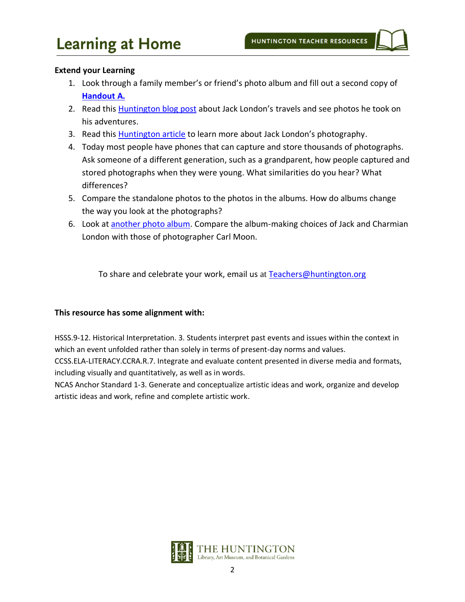#### **Extend your Learning**

- 1. Look through a family member's or friend's photo album and fill out a second copy of **[Handout A.](#page-2-0)**
- 2. Read this **Huntington blog post** about Jack London's travels and see photos he took on his adventures.
- 3. Read this **Huntington article** to learn more about Jack London's photography.
- 4. Today most people have phones that can capture and store thousands of photographs. Ask someone of a different generation, such as a grandparent, how people captured and stored photographs when they were young. What similarities do you hear? What differences?
- 5. Compare the standalone photos to the photos in the albums. How do albums change the way you look at the photographs?
- 6. Look at another [photo album.](https://hdl.huntington.org/digital/collection/p15150coll2/id/7723/rec/1) Compare the album-making choices of Jack and Charmian London with those of photographer Carl Moon.

To share and celebrate your work, email us at [Teachers@huntington.org](mailto:teachers@huntington.org)

#### **This resource has some alignment with:**

HSSS.9-12. Historical Interpretation. 3. Students interpret past events and issues within the context in which an event unfolded rather than solely in terms of present-day norms and values.

CCSS.ELA-LITERACY.CCRA.R.7. Integrate and evaluate content presented in diverse media and formats, including visually and quantitatively, as well as in words.

NCAS Anchor Standard 1-3. Generate and conceptualize artistic ideas and work, organize and develop artistic ideas and work, refine and complete artistic work.

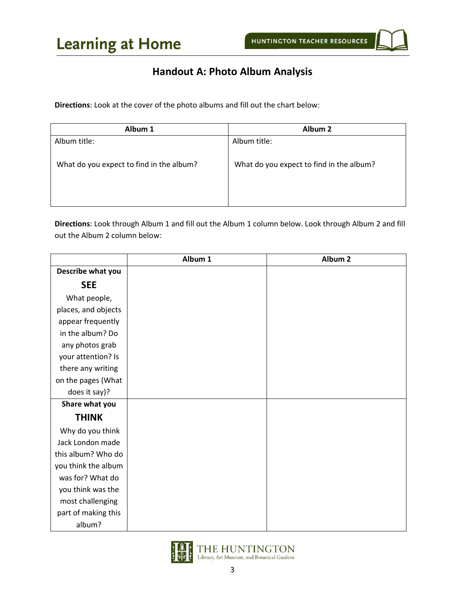## **Handout A: Photo Album Analysis**

<span id="page-2-0"></span>**Directions**: Look at the cover of the photo albums and fill out the chart below:

| Album 1                                  | Album <sub>2</sub>                       |
|------------------------------------------|------------------------------------------|
| Album title:                             | Album title:                             |
|                                          |                                          |
| What do you expect to find in the album? | What do you expect to find in the album? |
|                                          |                                          |
|                                          |                                          |
|                                          |                                          |

**Directions**: Look through Album 1 and fill out the Album 1 column below. Look through Album 2 and fill out the Album 2 column below:

|                     | Album 1 | Album <sub>2</sub> |
|---------------------|---------|--------------------|
| Describe what you   |         |                    |
| <b>SEE</b>          |         |                    |
| What people,        |         |                    |
| places, and objects |         |                    |
| appear frequently   |         |                    |
| in the album? Do    |         |                    |
| any photos grab     |         |                    |
| your attention? Is  |         |                    |
| there any writing   |         |                    |
| on the pages (What  |         |                    |
| does it say)?       |         |                    |
| Share what you      |         |                    |
| <b>THINK</b>        |         |                    |
| Why do you think    |         |                    |
| Jack London made    |         |                    |
| this album? Who do  |         |                    |
| you think the album |         |                    |
| was for? What do    |         |                    |
| you think was the   |         |                    |
| most challenging    |         |                    |
| part of making this |         |                    |
| album?              |         |                    |

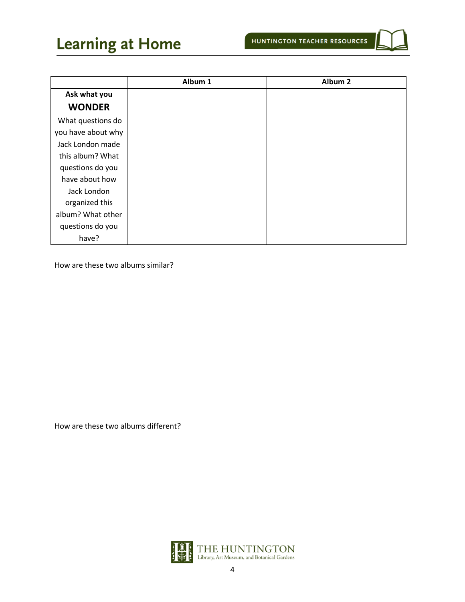# **Learning at Home**

|                    | Album 1 | Album <sub>2</sub> |
|--------------------|---------|--------------------|
| Ask what you       |         |                    |
| <b>WONDER</b>      |         |                    |
| What questions do  |         |                    |
| you have about why |         |                    |
| Jack London made   |         |                    |
| this album? What   |         |                    |
| questions do you   |         |                    |
| have about how     |         |                    |
| Jack London        |         |                    |
| organized this     |         |                    |
| album? What other  |         |                    |
| questions do you   |         |                    |
| have?              |         |                    |

How are these two albums similar?

How are these two albums different?